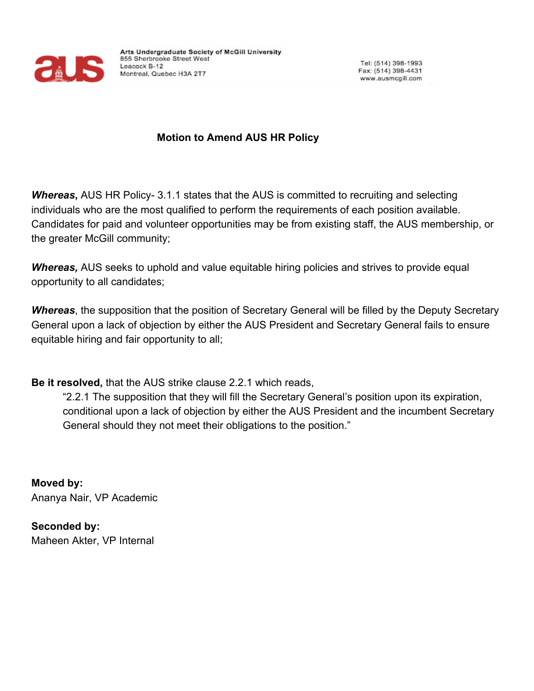

## **Motion to Amend AUS HR Policy**

**Whereas, AUS HR Policy-3.1.1 states that the AUS is committed to recruiting and selecting** individuals who are the most qualified to perform the requirements of each position available. Candidates for paid and volunteer opportunities may be from existing staff, the AUS membership, or the greater McGill community;

**Whereas,** AUS seeks to uphold and value equitable hiring policies and strives to provide equal opportunity to all candidates;

*Whereas*, the supposition that the position of Secretary General will be filled by the Deputy Secretary General upon a lack of objection by either the AUS President and Secretary General fails to ensure equitable hiring and fair opportunity to all;

**Be it resolved,** that the AUS strike clause 2.2.1 which reads,

"2.2.1 The supposition that they will fill the Secretary General's position upon its expiration, conditional upon a lack of objection by either the AUS President and the incumbent Secretary General should they not meet their obligations to the position."

**Moved by:** Ananya Nair, VP Academic

**Seconded by:** Maheen Akter, VP Internal